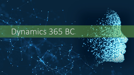# Dynamics 365 BC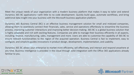Dynamics 365 BC applications—with little to no code development. Quickly build apps, automate workflows, and bring additional data insight into your business with the Microsoft business application platform.

Dynamics 365 Business Central (BC) is an effective business management solution for small and midsized companies, allowing them to seamlessly connect their financials, sales, service and operations effortlessly to streamline the business process, improving customer interactions and improving better decision-making. 365 BC is a global business solution that is highly adaptable and rich with exciting features. Companies are able to manage their business efficiently in all aspects, including; finance, manufacturing, sales, management and more. Users are able to customise the capability of 365 BC to ensure relevant functionalities to the region of the acquired operation. Business Central is fast to implement, easy to configure, and simplicity guides innovations in product design, development, implementation, and usability.

Dynamics 365 BC allows your enterprise to market more efficiently, sell effectively, and interact and respond anywhere at any time. Business Intelligence is provided in the cloud through solid integration with the Office 365 applications already familiar to you.



info@dynavix.co.za © DYNAVIX PTY LTD

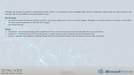Although this product is primarily a web-based solution, there is an on-premise version available. Both versions of Business Central have the same functions and features, with the only difference being the platform used.

## **On-Premise**

• The Business Central On-Premise software is built for on-premise deployment, much as the name suggests. Although it can also be hosted in the cloud, it cannot offer the same seamless experience as with the fully managed cloud-based solution.

## **Cloud**

- The Business Central Cloud provides all the capabilities of the on-premise version, but also ads the benefits of a true cloud solution.
- Central Cloud offers easy access 24/7 from any device, no matter where you are. Giving you real-time information flow.
- Seamless upgrades, easy integration building through web API's and reduced hardware costs are features that will make you excited.



info@dynavix.co.za © DYNAVIX PTY LTD